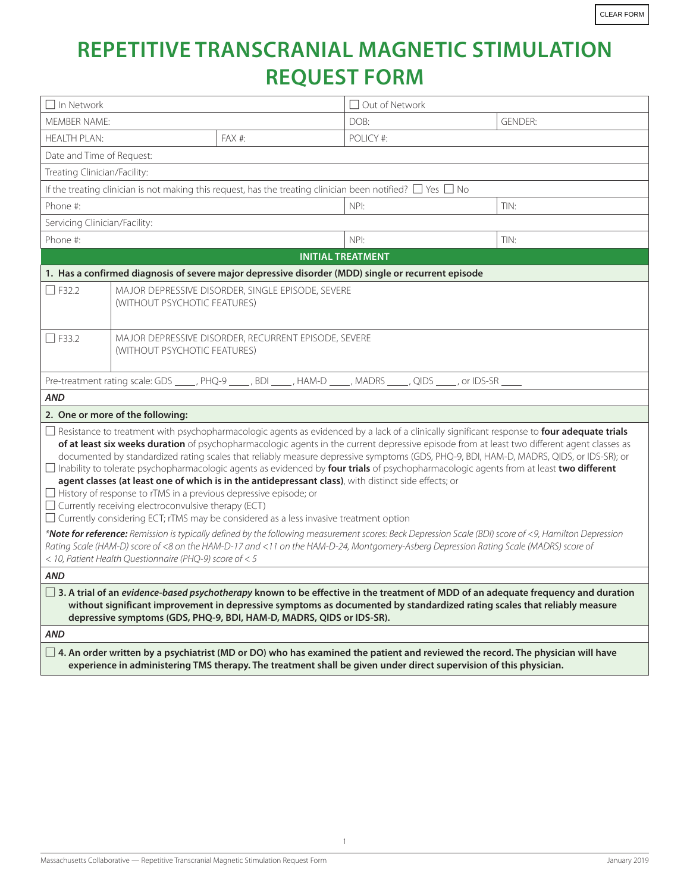## **REPETITIVE TRANSCRANIAL MAGNETIC STIMULATION REQUEST FORM**

| $\Box$ In Network                                                                                                                                                                                                                                                                                                                                                                                                                                                                                                                                                                                                                                                                                                                                                                                                                                                                                                                                                                                                                                                                                                                                                                                                                |                                                                                      |        | □ Out of Network |                |  |
|----------------------------------------------------------------------------------------------------------------------------------------------------------------------------------------------------------------------------------------------------------------------------------------------------------------------------------------------------------------------------------------------------------------------------------------------------------------------------------------------------------------------------------------------------------------------------------------------------------------------------------------------------------------------------------------------------------------------------------------------------------------------------------------------------------------------------------------------------------------------------------------------------------------------------------------------------------------------------------------------------------------------------------------------------------------------------------------------------------------------------------------------------------------------------------------------------------------------------------|--------------------------------------------------------------------------------------|--------|------------------|----------------|--|
| <b>MFMBFR NAMF:</b>                                                                                                                                                                                                                                                                                                                                                                                                                                                                                                                                                                                                                                                                                                                                                                                                                                                                                                                                                                                                                                                                                                                                                                                                              |                                                                                      |        | DOB:             | <b>GENDER:</b> |  |
| HFAITH PI AN:                                                                                                                                                                                                                                                                                                                                                                                                                                                                                                                                                                                                                                                                                                                                                                                                                                                                                                                                                                                                                                                                                                                                                                                                                    |                                                                                      | FAX #: | POLICY #:        |                |  |
| Date and Time of Request:                                                                                                                                                                                                                                                                                                                                                                                                                                                                                                                                                                                                                                                                                                                                                                                                                                                                                                                                                                                                                                                                                                                                                                                                        |                                                                                      |        |                  |                |  |
| Treating Clinician/Facility:                                                                                                                                                                                                                                                                                                                                                                                                                                                                                                                                                                                                                                                                                                                                                                                                                                                                                                                                                                                                                                                                                                                                                                                                     |                                                                                      |        |                  |                |  |
| If the treating clinician is not making this request, has the treating clinician been notified? $\Box$ Yes $\Box$ No                                                                                                                                                                                                                                                                                                                                                                                                                                                                                                                                                                                                                                                                                                                                                                                                                                                                                                                                                                                                                                                                                                             |                                                                                      |        |                  |                |  |
| Phone #:                                                                                                                                                                                                                                                                                                                                                                                                                                                                                                                                                                                                                                                                                                                                                                                                                                                                                                                                                                                                                                                                                                                                                                                                                         |                                                                                      |        | NPI:             | TIN:           |  |
| Servicing Clinician/Facility:                                                                                                                                                                                                                                                                                                                                                                                                                                                                                                                                                                                                                                                                                                                                                                                                                                                                                                                                                                                                                                                                                                                                                                                                    |                                                                                      |        |                  |                |  |
| Phone #:                                                                                                                                                                                                                                                                                                                                                                                                                                                                                                                                                                                                                                                                                                                                                                                                                                                                                                                                                                                                                                                                                                                                                                                                                         |                                                                                      | NPI:   | TIN:             |                |  |
| <b>INITIAL TREATMENT</b>                                                                                                                                                                                                                                                                                                                                                                                                                                                                                                                                                                                                                                                                                                                                                                                                                                                                                                                                                                                                                                                                                                                                                                                                         |                                                                                      |        |                  |                |  |
| 1. Has a confirmed diagnosis of severe major depressive disorder (MDD) single or recurrent episode                                                                                                                                                                                                                                                                                                                                                                                                                                                                                                                                                                                                                                                                                                                                                                                                                                                                                                                                                                                                                                                                                                                               |                                                                                      |        |                  |                |  |
| $\Box$ F32.2                                                                                                                                                                                                                                                                                                                                                                                                                                                                                                                                                                                                                                                                                                                                                                                                                                                                                                                                                                                                                                                                                                                                                                                                                     | MAJOR DEPRESSIVE DISORDER, SINGLE EPISODE, SEVERE<br>(WITHOUT PSYCHOTIC FEATURES)    |        |                  |                |  |
| $\Box$ F33.2                                                                                                                                                                                                                                                                                                                                                                                                                                                                                                                                                                                                                                                                                                                                                                                                                                                                                                                                                                                                                                                                                                                                                                                                                     | MAJOR DEPRESSIVE DISORDER, RECURRENT EPISODE, SEVERE<br>(WITHOUT PSYCHOTIC FEATURES) |        |                  |                |  |
| Pre-treatment rating scale: GDS ____, PHQ-9 ____, BDI ____, HAM-D ____, MADRS ____, QIDS ____, or IDS-SR ____                                                                                                                                                                                                                                                                                                                                                                                                                                                                                                                                                                                                                                                                                                                                                                                                                                                                                                                                                                                                                                                                                                                    |                                                                                      |        |                  |                |  |
| <b>AND</b>                                                                                                                                                                                                                                                                                                                                                                                                                                                                                                                                                                                                                                                                                                                                                                                                                                                                                                                                                                                                                                                                                                                                                                                                                       |                                                                                      |        |                  |                |  |
| 2. One or more of the following:                                                                                                                                                                                                                                                                                                                                                                                                                                                                                                                                                                                                                                                                                                                                                                                                                                                                                                                                                                                                                                                                                                                                                                                                 |                                                                                      |        |                  |                |  |
| □ Resistance to treatment with psychopharmacologic agents as evidenced by a lack of a clinically significant response to four adequate trials<br>of at least six weeks duration of psychopharmacologic agents in the current depressive episode from at least two different agent classes as<br>documented by standardized rating scales that reliably measure depressive symptoms (GDS, PHQ-9, BDI, HAM-D, MADRS, QIDS, or IDS-SR); or<br>□ Inability to tolerate psychopharmacologic agents as evidenced by four trials of psychopharmacologic agents from at least two different<br>agent classes (at least one of which is in the antidepressant class), with distinct side effects; or<br>□ History of response to rTMS in a previous depressive episode; or<br>$\Box$ Currently receiving electroconvulsive therapy (ECT)<br>$\Box$ Currently considering ECT; rTMS may be considered as a less invasive treatment option<br>*Note for reference: Remission is typically defined by the following measurement scores: Beck Depression Scale (BDI) score of <9, Hamilton Depression<br>Rating Scale (HAM-D) score of <8 on the HAM-D-17 and <11 on the HAM-D-24, Montgomery-Asberg Depression Rating Scale (MADRS) score of |                                                                                      |        |                  |                |  |
| < 10, Patient Health Questionnaire (PHQ-9) score of < 5                                                                                                                                                                                                                                                                                                                                                                                                                                                                                                                                                                                                                                                                                                                                                                                                                                                                                                                                                                                                                                                                                                                                                                          |                                                                                      |        |                  |                |  |
| <b>AND</b>                                                                                                                                                                                                                                                                                                                                                                                                                                                                                                                                                                                                                                                                                                                                                                                                                                                                                                                                                                                                                                                                                                                                                                                                                       |                                                                                      |        |                  |                |  |
| $\Box$ 3. A trial of an evidence-based psychotherapy known to be effective in the treatment of MDD of an adequate frequency and duration<br>without significant improvement in depressive symptoms as documented by standardized rating scales that reliably measure<br>depressive symptoms (GDS, PHQ-9, BDI, HAM-D, MADRS, QIDS or IDS-SR).                                                                                                                                                                                                                                                                                                                                                                                                                                                                                                                                                                                                                                                                                                                                                                                                                                                                                     |                                                                                      |        |                  |                |  |
| <b>AND</b>                                                                                                                                                                                                                                                                                                                                                                                                                                                                                                                                                                                                                                                                                                                                                                                                                                                                                                                                                                                                                                                                                                                                                                                                                       |                                                                                      |        |                  |                |  |
| $\Box$ 4. An order written by a psychiatrist (MD or DO) who has examined the patient and reviewed the record. The physician will have<br>experience in administering TMS therapy. The treatment shall be given under direct supervision of this physician.                                                                                                                                                                                                                                                                                                                                                                                                                                                                                                                                                                                                                                                                                                                                                                                                                                                                                                                                                                       |                                                                                      |        |                  |                |  |